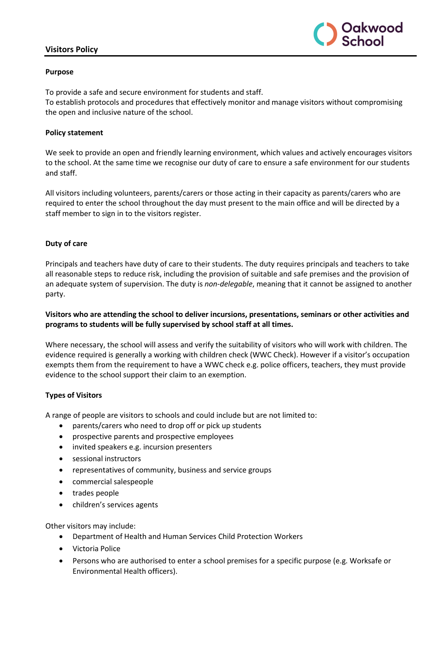# **Visitors Policy**



#### **Purpose**

To provide a safe and secure environment for students and staff.

To establish protocols and procedures that effectively monitor and manage visitors without compromising the open and inclusive nature of the school.

### **Policy statement**

We seek to provide an open and friendly learning environment, which values and actively encourages visitors to the school. At the same time we recognise our duty of care to ensure a safe environment for our students and staff.

All visitors including volunteers, parents/carers or those acting in their capacity as parents/carers who are required to enter the school throughout the day must present to the main office and will be directed by a staff member to sign in to the visitors register.

# **Duty of care**

Principals and teachers have duty of care to their students. The duty requires principals and teachers to take all reasonable steps to reduce risk, including the provision of suitable and safe premises and the provision of an adequate system of supervision. The duty is *non-delegable*, meaning that it cannot be assigned to another party.

# **Visitors who are attending the school to deliver incursions, presentations, seminars or other activities and programs to students will be fully supervised by school staff at all times.**

Where necessary, the school will assess and verify the suitability of visitors who will work with children. The evidence required is generally a working with children check (WWC Check). However if a visitor's occupation exempts them from the requirement to have a WWC check e.g. police officers, teachers, they must provide evidence to the school support their claim to an exemption.

# **Types of Visitors**

A range of people are visitors to schools and could include but are not limited to:

- parents/carers who need to drop off or pick up students
- prospective parents and prospective employees
- invited speakers e.g. incursion presenters
- sessional instructors
- representatives of community, business and service groups
- commercial salespeople
- trades people
- children's services agents

Other visitors may include:

- Department of Health and Human Services Child Protection Workers
- Victoria Police
- Persons who are authorised to enter a school premises for a specific purpose (e.g. Worksafe or Environmental Health officers).